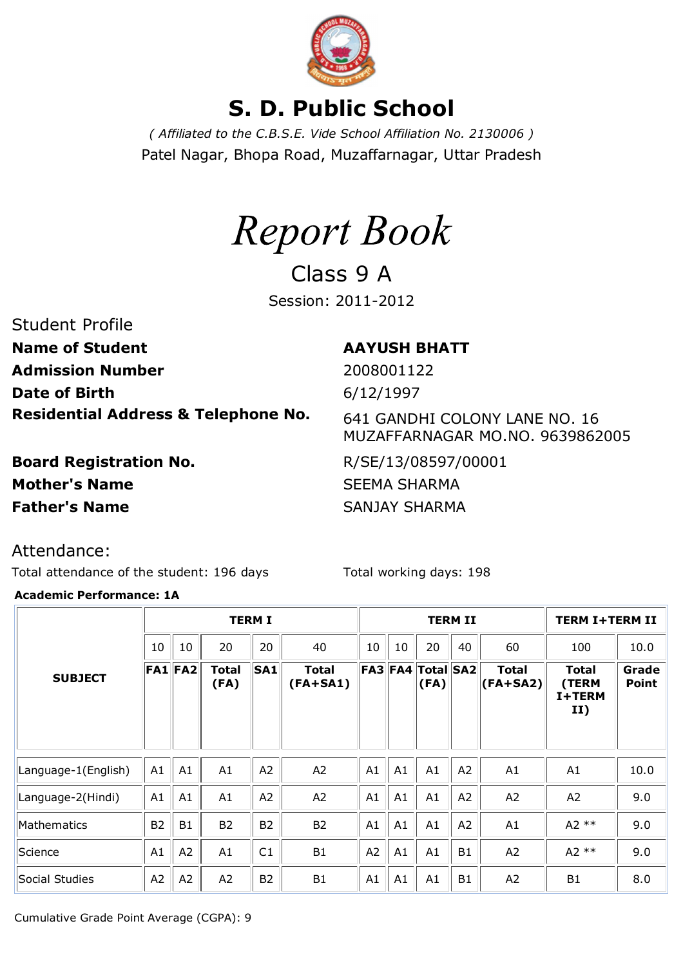

# **S. D. Public School**

*( Affiliated to the C.B.S.E. Vide School Affiliation No. 2130006 )* Patel Nagar, Bhopa Road, Muzaffarnagar, Uttar Pradesh



Class 9 A Session: 2011-2012

## Student Profile

**Name of Student AAYUSH BHATT Admission Number** 2008001122 **Date of Birth** 6/12/1997 **Residential Address & Telephone No.** 641 GANDHI COLONY LANE NO. 16

**Board Registration No.** R/SE/13/08597/00001 **Mother's Name** SEEMA SHARMA **Father's Name** SANJAY SHARMA

MUZAFFARNAGAR MO.NO. 9639862005

Attendance:

Total attendance of the student: 196 days Total working days: 198

### **Academic Performance: 1A**

|                     |           | <b>TERM I</b> |                      |                | <b>TERM II</b>             |    |                         |                   |           | <b>TERM I+TERM II</b>     |                                        |                       |
|---------------------|-----------|---------------|----------------------|----------------|----------------------------|----|-------------------------|-------------------|-----------|---------------------------|----------------------------------------|-----------------------|
|                     | 10        | 10            | 20                   | 20             | 40                         | 10 | 10                      | 20                | 40        | 60                        | 100                                    | 10.0                  |
| <b>SUBJECT</b>      |           | $FA1$ $FA2$   | <b>Total</b><br>(FA) | <b>SA1</b>     | <b>Total</b><br>$(FA+SA1)$ |    | $FA3$ $FA4$ $\parallel$ | Total SA2<br>(FA) |           | Total<br>$ $ (FA+SA2) $ $ | <b>Total</b><br>(TERM<br>I+TERM<br>II) | Grade<br><b>Point</b> |
|                     |           |               |                      |                |                            |    |                         |                   |           |                           |                                        |                       |
| Language-1(English) | A1        | A1            | A1                   | A2             | A2                         | A1 | A1                      | A1                | A2        | A1                        | A1                                     | 10.0                  |
| Language-2(Hindi)   | A1        | A1            | A1                   | A2             | A2                         | A1 | A1                      | A1                | A2        | A2                        | A <sub>2</sub>                         | 9.0                   |
| Mathematics         | <b>B2</b> | <b>B1</b>     | <b>B2</b>            | <b>B2</b>      | <b>B2</b>                  | A1 | A1                      | A1                | A2        | A1                        | $A2**$                                 | 9.0                   |
| Science             | A1        | A2            | A1                   | C1             | <b>B1</b>                  | A2 | A1                      | A1                | <b>B1</b> | A2                        | $A2**$                                 | 9.0                   |
| Social Studies      | A2        | A2            | A2                   | B <sub>2</sub> | <b>B1</b>                  | A1 | A1                      | A1                | <b>B1</b> | A2                        | B <sub>1</sub>                         | 8.0                   |